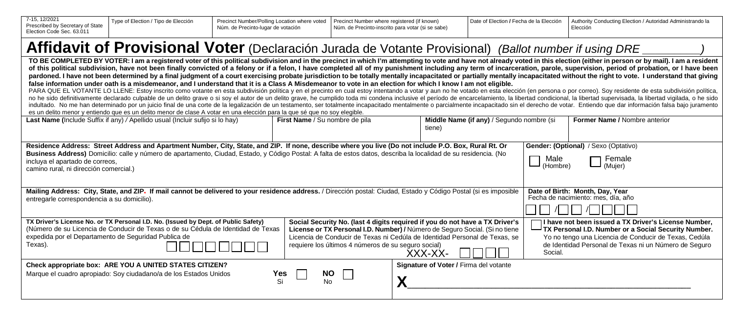| 7-15, 12/2021<br>Prescribed by Secretary of State<br>Election Code Sec. 63.011                                                                                                                                                                                                                                                                                                                                                                                                                                                                                                                                                                                                                                                                                                                                                                                                                                                                                                                                                                                                                                                                                                                                                                                                                                                                                                                                                                                                                                                                                                                                                                                                                    | Type of Election / Tipo de Elección                                                                                          | Precinct Number/Polling Location where voted<br>Núm. de Precinto-lugar de votación                     | Precinct Number where registered (if known)<br>Núm. de Precinto-inscrito para votar (si se sabe) |                                        | Date of Election / Fecha de la Elección              |  | Authority Conducting Election / Autoridad Administrando la<br>Elección |  |
|---------------------------------------------------------------------------------------------------------------------------------------------------------------------------------------------------------------------------------------------------------------------------------------------------------------------------------------------------------------------------------------------------------------------------------------------------------------------------------------------------------------------------------------------------------------------------------------------------------------------------------------------------------------------------------------------------------------------------------------------------------------------------------------------------------------------------------------------------------------------------------------------------------------------------------------------------------------------------------------------------------------------------------------------------------------------------------------------------------------------------------------------------------------------------------------------------------------------------------------------------------------------------------------------------------------------------------------------------------------------------------------------------------------------------------------------------------------------------------------------------------------------------------------------------------------------------------------------------------------------------------------------------------------------------------------------------|------------------------------------------------------------------------------------------------------------------------------|--------------------------------------------------------------------------------------------------------|--------------------------------------------------------------------------------------------------|----------------------------------------|------------------------------------------------------|--|------------------------------------------------------------------------|--|
|                                                                                                                                                                                                                                                                                                                                                                                                                                                                                                                                                                                                                                                                                                                                                                                                                                                                                                                                                                                                                                                                                                                                                                                                                                                                                                                                                                                                                                                                                                                                                                                                                                                                                                   |                                                                                                                              | Affidavit of Provisional Voter (Declaración Jurada de Votante Provisional) (Ballot number if using DRE |                                                                                                  |                                        |                                                      |  |                                                                        |  |
| TO BE COMPLETED BY VOTER: I am a registered voter of this political subdivision and in the precinct in which I'm attempting to vote and have not already voted in this election (either in person or by mail). I am a resident<br>of this political subdivision, have not been finally convicted of a felony or if a felon, I have completed all of my punishment including any term of incarceration, parole, supervision, period of probation, or I have been<br>pardoned. I have not been determined by a final judgment of a court exercising probate jurisdiction to be totally mentally incapacitated or partially mentally incapacitated without the right to vote. I understand that givi<br>false information under oath is a misdemeanor, and I understand that it is a Class A Misdemeanor to vote in an election for which I know I am not eligible.<br>PARA QUE EL VOTANTE LO LLENE: Estoy inscrito como votante en esta subdivisión política y en el precinto en cual estoy intentando a votar y aun no he votado en esta elección (en persona o por correo). Soy residente de esta<br>no he sido definitivamente declarado culpable de un delito grave o si soy el autor de un delito grave, he cumplido toda mi condena inclusive el período de encarcelamiento, la libertad condicional, la libertad supervisada,<br>indultado. No me han determinado por un juicio final de una corte de la legalización de un testamento, ser totalmente incapacitado mentalmente o parcialmente incapacitado sin el derecho de votar. Entiendo que dar informaci<br>es un delito menor y entiendo que es un delito menor de clase A votar en una elección para la que sé que no soy elegible. |                                                                                                                              |                                                                                                        |                                                                                                  |                                        |                                                      |  |                                                                        |  |
|                                                                                                                                                                                                                                                                                                                                                                                                                                                                                                                                                                                                                                                                                                                                                                                                                                                                                                                                                                                                                                                                                                                                                                                                                                                                                                                                                                                                                                                                                                                                                                                                                                                                                                   | Last Name (Include Suffix if any) / Apellido usual (Incluir sufijo si lo hay)                                                |                                                                                                        | First Name / Su nombre de pila                                                                   | tiene)                                 | Middle Name (if any) / Segundo nombre (si            |  | <b>Former Name / Nombre anterior</b>                                   |  |
| Residence Address: Street Address and Apartment Number, City, State, and ZIP. If none, describe where you live (Do not include P.O. Box, Rural Rt. Or<br>Gender: (Optional) / Sexo (Optativo)<br>Business Address) Domicilio: calle y número de apartamento, Ciudad, Estado, y Código Postal: A falta de estos datos, describa la localidad de su residencia. (No<br>Male<br>$\lnot$ Female<br>incluya el apartado de correos.<br>$\overline{\phantom{a}}$ (Muier)<br>(Hombre)<br>camino rural, ni dirección comercial.)                                                                                                                                                                                                                                                                                                                                                                                                                                                                                                                                                                                                                                                                                                                                                                                                                                                                                                                                                                                                                                                                                                                                                                          |                                                                                                                              |                                                                                                        |                                                                                                  |                                        |                                                      |  |                                                                        |  |
| Mailing Address: City, State, and ZIP, If mail cannot be delivered to your residence address. / Dirección postal: Ciudad, Estado y Código Postal (si es imposible<br>Date of Birth: Month, Day, Year<br>Fecha de nacimiento: mes, día, año<br>entregarle correspondencia a su domicilio).                                                                                                                                                                                                                                                                                                                                                                                                                                                                                                                                                                                                                                                                                                                                                                                                                                                                                                                                                                                                                                                                                                                                                                                                                                                                                                                                                                                                         |                                                                                                                              |                                                                                                        |                                                                                                  |                                        |                                                      |  |                                                                        |  |
| TX Driver's License No. or TX Personal I.D. No. (Issued by Dept. of Public Safety)<br>Social Security No. (last 4 digits required if you do not have a TX Driver's<br>(Número de su Licencia de Conducir de Texas o de su Cédula de Identidad de Texas<br>License or TX Personal I.D. Number) / Número de Seguro Social. (Si no tiene<br>TX Personal I.D. Number or a Social Security Number.<br>expedida por el Departamento de Seguridad Publica de<br>Licencia de Conducir de Texas ni Cedúla de Identidad Personal de Texas, se<br>Yo no tengo una Licencia de Conducir de Texas, Cedúla<br>Texas).<br>de Identidad Personal de Texas ni un Número de Seguro<br>requiere los últimos 4 números de su seguro social)<br>Social.<br>XXX-XX-                                                                                                                                                                                                                                                                                                                                                                                                                                                                                                                                                                                                                                                                                                                                                                                                                                                                                                                                                     |                                                                                                                              |                                                                                                        |                                                                                                  |                                        | I have not been issued a TX Driver's License Number, |  |                                                                        |  |
|                                                                                                                                                                                                                                                                                                                                                                                                                                                                                                                                                                                                                                                                                                                                                                                                                                                                                                                                                                                                                                                                                                                                                                                                                                                                                                                                                                                                                                                                                                                                                                                                                                                                                                   | Check appropriate box: ARE YOU A UNITED STATES CITIZEN?<br>Marque el cuadro apropiado: Soy ciudadano/a de los Estados Unidos | Yes<br>Si                                                                                              | <b>NO</b><br>No.                                                                                 | Signature of Voter / Firma del votante |                                                      |  |                                                                        |  |